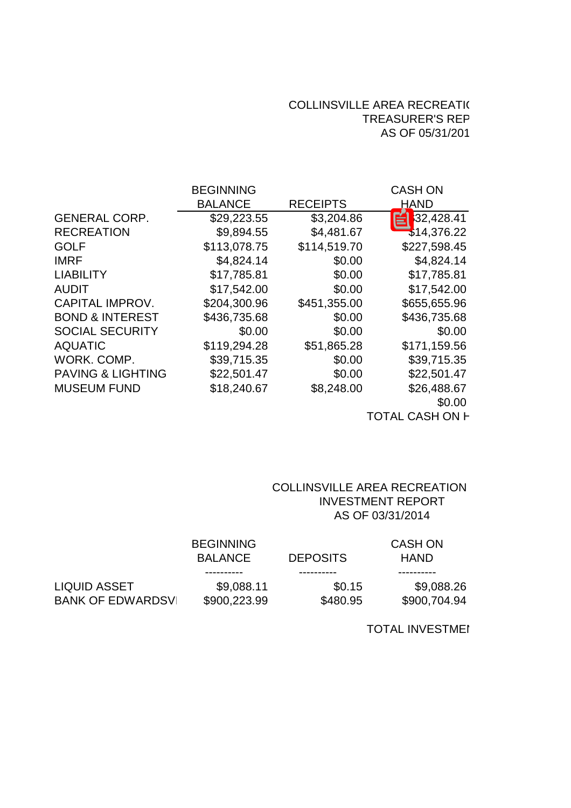## COLLINSVILLE AREA RECREATION TREASURER'S REP AS OF 05/31/201

|                              | <b>BEGINNING</b> |                 | <b>CASH ON</b> |
|------------------------------|------------------|-----------------|----------------|
|                              | <b>BALANCE</b>   | <b>RECEIPTS</b> | <b>HAND</b>    |
| <b>GENERAL CORP.</b>         | \$29,223.55      | \$3,204.86      | \$32,428.41    |
| <b>RECREATION</b>            | \$9,894.55       | \$4,481.67      | \$14,376.22    |
| <b>GOLF</b>                  | \$113,078.75     | \$114,519.70    | \$227,598.45   |
| <b>IMRF</b>                  | \$4,824.14       | \$0.00          | \$4,824.14     |
| <b>LIABILITY</b>             | \$17,785.81      | \$0.00          | \$17,785.81    |
| <b>AUDIT</b>                 | \$17,542.00      | \$0.00          | \$17,542.00    |
| <b>CAPITAL IMPROV.</b>       | \$204,300.96     | \$451,355.00    | \$655,655.96   |
| <b>BOND &amp; INTEREST</b>   | \$436,735.68     | \$0.00          | \$436,735.68   |
| <b>SOCIAL SECURITY</b>       | \$0.00           | \$0.00          | \$0.00         |
| <b>AQUATIC</b>               | \$119,294.28     | \$51,865.28     | \$171,159.56   |
| WORK, COMP.                  | \$39,715.35      | \$0.00          | \$39,715.35    |
| <b>PAVING &amp; LIGHTING</b> | \$22,501.47      | \$0.00          | \$22,501.47    |
| <b>MUSEUM FUND</b>           | \$18,240.67      | \$8,248.00      | \$26,488.67    |
|                              |                  |                 | \$0.00         |
|                              |                  |                 |                |

TOTAL CASH ON **F** 

# COLLINSVILLE AREA RECREATION AS OF 03/31/2014 INVESTMENT REPORT

|                          | <b>BEGINNING</b> |                 | <b>CASH ON</b> |  |  |
|--------------------------|------------------|-----------------|----------------|--|--|
|                          | <b>BALANCE</b>   | <b>DEPOSITS</b> | <b>HAND</b>    |  |  |
|                          | ----------       |                 |                |  |  |
| LIQUID ASSET             | \$9,088.11       | \$0.15          | \$9,088.26     |  |  |
| <b>BANK OF EDWARDSVI</b> | \$900,223.99     | \$480.95        | \$900,704.94   |  |  |

TOTAL INVESTMENT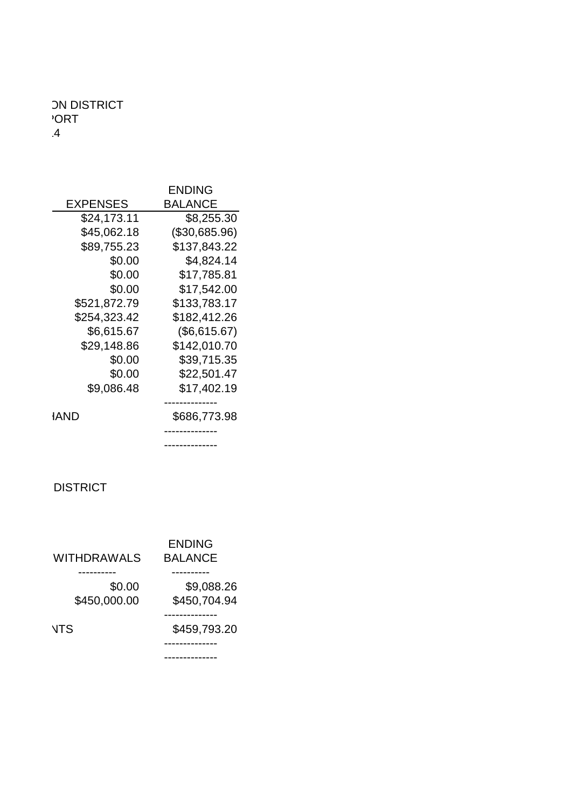## COLLINSVILLE AREA RECORDS AND DISTRICT AREA RECORDS AND LODGED AREA RECORDS AND LODGED AREA RECORDS AND LODGED AND LODGED AND LODGED AND LODGED AND LODGED AND LODGED AND LODGED AND LODGED AND LODGED AND LODGED AND LODGED A TREASURER'S REPORT OF THE SECOND SECOND SECOND SECOND SECOND SECOND SECOND SECOND SECOND SECOND SECOND SECOND SECOND SECOND SECOND SECOND SECOND SECOND SECOND SECOND SECOND SECOND SECOND SECOND SECOND SECOND SECOND SECOND  $\overline{4}$

| <b>EXPENSES</b> |  |  |  |
|-----------------|--|--|--|
|                 |  |  |  |
|                 |  |  |  |
|                 |  |  |  |
|                 |  |  |  |
|                 |  |  |  |
|                 |  |  |  |
|                 |  |  |  |
|                 |  |  |  |
|                 |  |  |  |
|                 |  |  |  |
|                 |  |  |  |
|                 |  |  |  |
|                 |  |  |  |
|                 |  |  |  |
|                 |  |  |  |

-------------- --------------

### **COLLINSVILLE AREA RECREATION OF A RECREATION OF A RECREATION OF A RECREATION OF A RECREATION OF A RECREATION O**

| WITHDRAWALS BALANC        |  |  |
|---------------------------|--|--|
|                           |  |  |
|                           |  |  |
| \$450,000.00 \$450,704.94 |  |  |
|                           |  |  |
| \$459,793.20              |  |  |
|                           |  |  |
|                           |  |  |